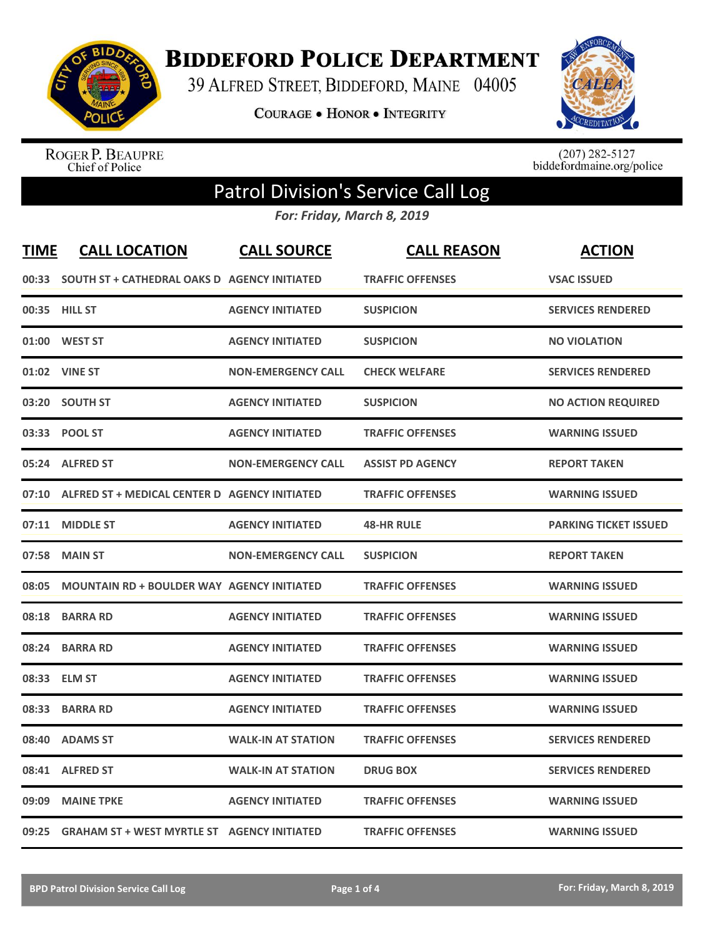

**BIDDEFORD POLICE DEPARTMENT** 

39 ALFRED STREET, BIDDEFORD, MAINE 04005

COURAGE . HONOR . INTEGRITY



ROGER P. BEAUPRE<br>Chief of Police

 $(207)$  282-5127<br>biddefordmaine.org/police

## Patrol Division's Service Call Log

*For: Friday, March 8, 2019*

| <b>TIME</b> | <b>CALL LOCATION</b>                               | <b>CALL SOURCE</b>        | <b>CALL REASON</b>      | <b>ACTION</b>                |
|-------------|----------------------------------------------------|---------------------------|-------------------------|------------------------------|
|             | 00:33 SOUTH ST + CATHEDRAL OAKS D AGENCY INITIATED |                           | <b>TRAFFIC OFFENSES</b> | <b>VSAC ISSUED</b>           |
|             | 00:35 HILL ST                                      | <b>AGENCY INITIATED</b>   | <b>SUSPICION</b>        | <b>SERVICES RENDERED</b>     |
|             | 01:00 WEST ST                                      | <b>AGENCY INITIATED</b>   | <b>SUSPICION</b>        | <b>NO VIOLATION</b>          |
|             | 01:02 VINE ST                                      | <b>NON-EMERGENCY CALL</b> | <b>CHECK WELFARE</b>    | <b>SERVICES RENDERED</b>     |
|             | 03:20 SOUTH ST                                     | <b>AGENCY INITIATED</b>   | <b>SUSPICION</b>        | <b>NO ACTION REQUIRED</b>    |
|             | 03:33 POOL ST                                      | <b>AGENCY INITIATED</b>   | <b>TRAFFIC OFFENSES</b> | <b>WARNING ISSUED</b>        |
|             | 05:24 ALFRED ST                                    | <b>NON-EMERGENCY CALL</b> | <b>ASSIST PD AGENCY</b> | <b>REPORT TAKEN</b>          |
| 07:10       | ALFRED ST + MEDICAL CENTER D AGENCY INITIATED      |                           | <b>TRAFFIC OFFENSES</b> | <b>WARNING ISSUED</b>        |
| 07:11       | <b>MIDDLE ST</b>                                   | <b>AGENCY INITIATED</b>   | <b>48-HR RULE</b>       | <b>PARKING TICKET ISSUED</b> |
| 07:58       | <b>MAIN ST</b>                                     | <b>NON-EMERGENCY CALL</b> | <b>SUSPICION</b>        | <b>REPORT TAKEN</b>          |
| 08:05       | <b>MOUNTAIN RD + BOULDER WAY AGENCY INITIATED</b>  |                           | <b>TRAFFIC OFFENSES</b> | <b>WARNING ISSUED</b>        |
| 08:18       | <b>BARRA RD</b>                                    | <b>AGENCY INITIATED</b>   | <b>TRAFFIC OFFENSES</b> | <b>WARNING ISSUED</b>        |
| 08:24       | <b>BARRA RD</b>                                    | <b>AGENCY INITIATED</b>   | <b>TRAFFIC OFFENSES</b> | <b>WARNING ISSUED</b>        |
| 08:33       | <b>ELM ST</b>                                      | <b>AGENCY INITIATED</b>   | <b>TRAFFIC OFFENSES</b> | <b>WARNING ISSUED</b>        |
| 08:33       | <b>BARRA RD</b>                                    | <b>AGENCY INITIATED</b>   | <b>TRAFFIC OFFENSES</b> | <b>WARNING ISSUED</b>        |
| 08:40       | <b>ADAMS ST</b>                                    | <b>WALK-IN AT STATION</b> | <b>TRAFFIC OFFENSES</b> | <b>SERVICES RENDERED</b>     |
| 08:41       | <b>ALFRED ST</b>                                   | <b>WALK-IN AT STATION</b> | <b>DRUG BOX</b>         | <b>SERVICES RENDERED</b>     |
| 09:09       | <b>MAINE TPKE</b>                                  | <b>AGENCY INITIATED</b>   | <b>TRAFFIC OFFENSES</b> | <b>WARNING ISSUED</b>        |
| 09:25       | <b>GRAHAM ST + WEST MYRTLE ST AGENCY INITIATED</b> |                           | <b>TRAFFIC OFFENSES</b> | <b>WARNING ISSUED</b>        |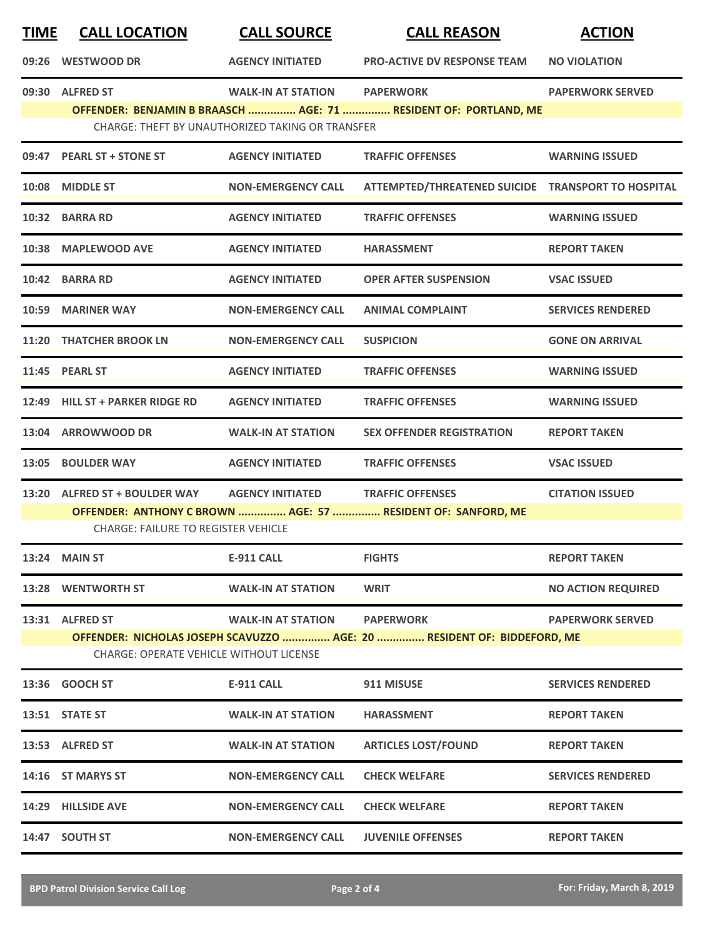| <b>TIME</b> | <b>CALL LOCATION</b>                                                                                               | <b>CALL SOURCE</b>                               | <b>CALL REASON</b>                                               | <b>ACTION</b>             |  |
|-------------|--------------------------------------------------------------------------------------------------------------------|--------------------------------------------------|------------------------------------------------------------------|---------------------------|--|
|             | 09:26 WESTWOOD DR                                                                                                  | <b>AGENCY INITIATED</b>                          | <b>PRO-ACTIVE DV RESPONSE TEAM</b>                               | <b>NO VIOLATION</b>       |  |
|             | 09:30 ALFRED ST                                                                                                    | <b>WALK-IN AT STATION</b>                        | <b>PAPERWORK</b>                                                 | <b>PAPERWORK SERVED</b>   |  |
|             |                                                                                                                    | CHARGE: THEFT BY UNAUTHORIZED TAKING OR TRANSFER | OFFENDER: BENJAMIN B BRAASCH  AGE: 71  RESIDENT OF: PORTLAND, ME |                           |  |
|             | 09:47 PEARL ST + STONE ST                                                                                          | <b>AGENCY INITIATED</b>                          | <b>TRAFFIC OFFENSES</b>                                          | <b>WARNING ISSUED</b>     |  |
|             | 10:08 MIDDLE ST                                                                                                    | <b>NON-EMERGENCY CALL</b>                        | ATTEMPTED/THREATENED SUICIDE TRANSPORT TO HOSPITAL               |                           |  |
|             | 10:32 BARRA RD                                                                                                     | <b>AGENCY INITIATED</b>                          | <b>TRAFFIC OFFENSES</b>                                          | <b>WARNING ISSUED</b>     |  |
|             | 10:38 MAPLEWOOD AVE                                                                                                | <b>AGENCY INITIATED</b>                          | <b>HARASSMENT</b>                                                | <b>REPORT TAKEN</b>       |  |
|             | 10:42 BARRA RD                                                                                                     | <b>AGENCY INITIATED</b>                          | <b>OPER AFTER SUSPENSION</b>                                     | <b>VSAC ISSUED</b>        |  |
|             | 10:59 MARINER WAY                                                                                                  | <b>NON-EMERGENCY CALL</b>                        | <b>ANIMAL COMPLAINT</b>                                          | <b>SERVICES RENDERED</b>  |  |
| 11:20       | <b>THATCHER BROOK LN</b>                                                                                           | <b>NON-EMERGENCY CALL</b>                        | <b>SUSPICION</b>                                                 | <b>GONE ON ARRIVAL</b>    |  |
|             | 11:45 PEARL ST                                                                                                     | <b>AGENCY INITIATED</b>                          | <b>TRAFFIC OFFENSES</b>                                          | <b>WARNING ISSUED</b>     |  |
|             | 12:49 HILL ST + PARKER RIDGE RD                                                                                    | <b>AGENCY INITIATED</b>                          | <b>TRAFFIC OFFENSES</b>                                          | <b>WARNING ISSUED</b>     |  |
|             | 13:04 ARROWWOOD DR                                                                                                 | <b>WALK-IN AT STATION</b>                        | <b>SEX OFFENDER REGISTRATION</b>                                 | <b>REPORT TAKEN</b>       |  |
|             | 13:05 BOULDER WAY                                                                                                  | <b>AGENCY INITIATED</b>                          | <b>TRAFFIC OFFENSES</b>                                          | <b>VSAC ISSUED</b>        |  |
|             | 13:20 ALFRED ST + BOULDER WAY                                                                                      | <b>AGENCY INITIATED</b>                          | <b>TRAFFIC OFFENSES</b>                                          | <b>CITATION ISSUED</b>    |  |
|             | OFFENDER: ANTHONY C BROWN  AGE: 57  RESIDENT OF: SANFORD, ME<br><b>CHARGE: FAILURE TO REGISTER VEHICLE</b>         |                                                  |                                                                  |                           |  |
|             | 13:24 MAIN ST                                                                                                      | <b>E-911 CALL</b>                                | <b>FIGHTS</b>                                                    | <b>REPORT TAKEN</b>       |  |
|             | 13:28 WENTWORTH ST                                                                                                 | <b>WALK-IN AT STATION</b>                        | <b>WRIT</b>                                                      | <b>NO ACTION REQUIRED</b> |  |
|             | 13:31 ALFRED ST                                                                                                    | <b>WALK-IN AT STATION</b>                        | <b>PAPERWORK</b>                                                 | <b>PAPERWORK SERVED</b>   |  |
|             | OFFENDER: NICHOLAS JOSEPH SCAVUZZO  AGE: 20  RESIDENT OF: BIDDEFORD, ME<br>CHARGE: OPERATE VEHICLE WITHOUT LICENSE |                                                  |                                                                  |                           |  |
|             | 13:36 GOOCH ST                                                                                                     | <b>E-911 CALL</b>                                | 911 MISUSE                                                       | <b>SERVICES RENDERED</b>  |  |
|             | 13:51 STATE ST                                                                                                     | <b>WALK-IN AT STATION</b>                        | <b>HARASSMENT</b>                                                | <b>REPORT TAKEN</b>       |  |
|             | 13:53 ALFRED ST                                                                                                    | <b>WALK-IN AT STATION</b>                        | <b>ARTICLES LOST/FOUND</b>                                       | <b>REPORT TAKEN</b>       |  |
|             | 14:16 ST MARYS ST                                                                                                  | <b>NON-EMERGENCY CALL</b>                        | <b>CHECK WELFARE</b>                                             | <b>SERVICES RENDERED</b>  |  |
|             | 14:29 HILLSIDE AVE                                                                                                 | <b>NON-EMERGENCY CALL</b>                        | <b>CHECK WELFARE</b>                                             | <b>REPORT TAKEN</b>       |  |
|             | 14:47 SOUTH ST                                                                                                     | <b>NON-EMERGENCY CALL</b>                        | <b>JUVENILE OFFENSES</b>                                         | <b>REPORT TAKEN</b>       |  |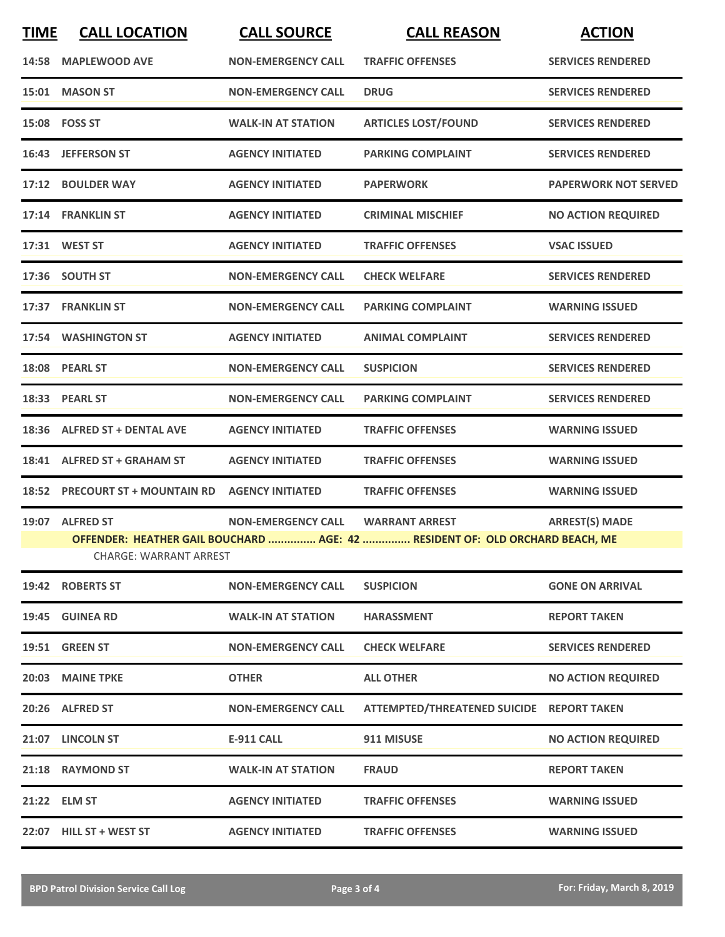| <b>TIME</b>                                                                                                   | <b>CALL LOCATION</b>                             | <b>CALL SOURCE</b>        | <b>CALL REASON</b>                        | <b>ACTION</b>               |
|---------------------------------------------------------------------------------------------------------------|--------------------------------------------------|---------------------------|-------------------------------------------|-----------------------------|
|                                                                                                               | 14:58 MAPLEWOOD AVE                              | <b>NON-EMERGENCY CALL</b> | <b>TRAFFIC OFFENSES</b>                   | <b>SERVICES RENDERED</b>    |
|                                                                                                               | 15:01 MASON ST                                   | <b>NON-EMERGENCY CALL</b> | <b>DRUG</b>                               | <b>SERVICES RENDERED</b>    |
|                                                                                                               | 15:08 FOSS ST                                    | <b>WALK-IN AT STATION</b> | <b>ARTICLES LOST/FOUND</b>                | <b>SERVICES RENDERED</b>    |
|                                                                                                               | 16:43 JEFFERSON ST                               | <b>AGENCY INITIATED</b>   | <b>PARKING COMPLAINT</b>                  | <b>SERVICES RENDERED</b>    |
|                                                                                                               | 17:12 BOULDER WAY                                | <b>AGENCY INITIATED</b>   | <b>PAPERWORK</b>                          | <b>PAPERWORK NOT SERVED</b> |
|                                                                                                               | 17:14 FRANKLIN ST                                | <b>AGENCY INITIATED</b>   | <b>CRIMINAL MISCHIEF</b>                  | <b>NO ACTION REQUIRED</b>   |
|                                                                                                               | 17:31 WEST ST                                    | <b>AGENCY INITIATED</b>   | <b>TRAFFIC OFFENSES</b>                   | <b>VSAC ISSUED</b>          |
|                                                                                                               | 17:36 SOUTH ST                                   | <b>NON-EMERGENCY CALL</b> | <b>CHECK WELFARE</b>                      | <b>SERVICES RENDERED</b>    |
|                                                                                                               | 17:37 FRANKLIN ST                                | <b>NON-EMERGENCY CALL</b> | <b>PARKING COMPLAINT</b>                  | <b>WARNING ISSUED</b>       |
|                                                                                                               | 17:54 WASHINGTON ST                              | <b>AGENCY INITIATED</b>   | <b>ANIMAL COMPLAINT</b>                   | <b>SERVICES RENDERED</b>    |
|                                                                                                               | 18:08 PEARL ST                                   | <b>NON-EMERGENCY CALL</b> | <b>SUSPICION</b>                          | <b>SERVICES RENDERED</b>    |
|                                                                                                               | 18:33 PEARL ST                                   | <b>NON-EMERGENCY CALL</b> | <b>PARKING COMPLAINT</b>                  | <b>SERVICES RENDERED</b>    |
|                                                                                                               | 18:36 ALFRED ST + DENTAL AVE                     | <b>AGENCY INITIATED</b>   | <b>TRAFFIC OFFENSES</b>                   | <b>WARNING ISSUED</b>       |
|                                                                                                               | 18:41 ALFRED ST + GRAHAM ST                      | <b>AGENCY INITIATED</b>   | <b>TRAFFIC OFFENSES</b>                   | <b>WARNING ISSUED</b>       |
|                                                                                                               | 18:52 PRECOURT ST + MOUNTAIN RD AGENCY INITIATED |                           | <b>TRAFFIC OFFENSES</b>                   | <b>WARNING ISSUED</b>       |
|                                                                                                               | 19:07 ALFRED ST                                  | <b>NON-EMERGENCY CALL</b> | <b>WARRANT ARREST</b>                     | <b>ARREST(S) MADE</b>       |
| OFFENDER: HEATHER GAIL BOUCHARD  AGE: 42  RESIDENT OF: OLD ORCHARD BEACH, ME<br><b>CHARGE: WARRANT ARREST</b> |                                                  |                           |                                           |                             |
|                                                                                                               | 19:42 ROBERTS ST                                 | <b>NON-EMERGENCY CALL</b> | <b>SUSPICION</b>                          | <b>GONE ON ARRIVAL</b>      |
|                                                                                                               | 19:45 GUINEA RD                                  | <b>WALK-IN AT STATION</b> | <b>HARASSMENT</b>                         | <b>REPORT TAKEN</b>         |
|                                                                                                               | 19:51 GREEN ST                                   | <b>NON-EMERGENCY CALL</b> | <b>CHECK WELFARE</b>                      | <b>SERVICES RENDERED</b>    |
|                                                                                                               | 20:03 MAINE TPKE                                 | <b>OTHER</b>              | <b>ALL OTHER</b>                          | <b>NO ACTION REQUIRED</b>   |
|                                                                                                               | 20:26 ALFRED ST                                  | <b>NON-EMERGENCY CALL</b> | ATTEMPTED/THREATENED SUICIDE REPORT TAKEN |                             |
|                                                                                                               | 21:07 LINCOLN ST                                 | <b>E-911 CALL</b>         | 911 MISUSE                                | <b>NO ACTION REQUIRED</b>   |
|                                                                                                               | 21:18 RAYMOND ST                                 | <b>WALK-IN AT STATION</b> | <b>FRAUD</b>                              | <b>REPORT TAKEN</b>         |
|                                                                                                               | 21:22 ELM ST                                     | <b>AGENCY INITIATED</b>   | <b>TRAFFIC OFFENSES</b>                   | <b>WARNING ISSUED</b>       |
|                                                                                                               | 22:07 HILL ST + WEST ST                          | <b>AGENCY INITIATED</b>   | <b>TRAFFIC OFFENSES</b>                   | <b>WARNING ISSUED</b>       |